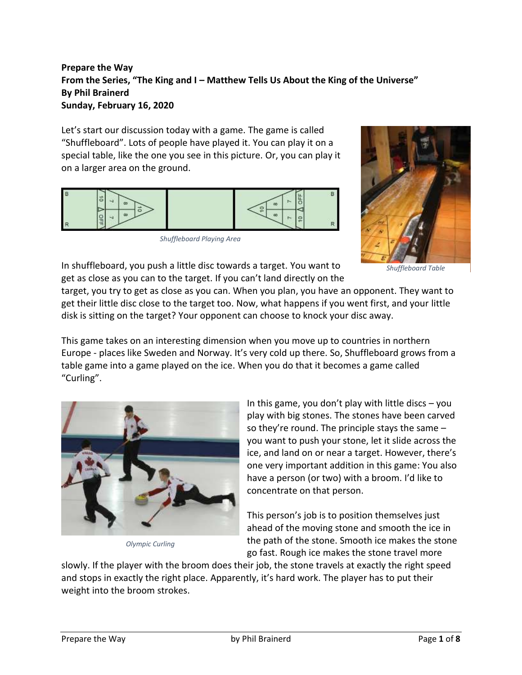# **Prepare the Way From the Series, "The King and I – Matthew Tells Us About the King of the Universe" By Phil Brainerd Sunday, February 16, 2020**

Let's start our discussion today with a game. The game is called "Shuffleboard". Lots of people have played it. You can play it on a special table, like the one you see in this picture. Or, you can play it on a larger area on the ground.



*Shuffleboard Playing Area*



*Shuffleboard Table*

In shuffleboard, you push a little disc towards a target. You want to get as close as you can to the target. If you can't land directly on the

target, you try to get as close as you can. When you plan, you have an opponent. They want to get their little disc close to the target too. Now, what happens if you went first, and your little disk is sitting on the target? Your opponent can choose to knock your disc away.

This game takes on an interesting dimension when you move up to countries in northern Europe - places like Sweden and Norway. It's very cold up there. So, Shuffleboard grows from a table game into a game played on the ice. When you do that it becomes a game called "Curling".



*Olympic Curling*

In this game, you don't play with little discs – you play with big stones. The stones have been carved so they're round. The principle stays the same – you want to push your stone, let it slide across the ice, and land on or near a target. However, there's one very important addition in this game: You also have a person (or two) with a broom. I'd like to concentrate on that person.

This person's job is to position themselves just ahead of the moving stone and smooth the ice in the path of the stone. Smooth ice makes the stone go fast. Rough ice makes the stone travel more

slowly. If the player with the broom does their job, the stone travels at exactly the right speed and stops in exactly the right place. Apparently, it's hard work. The player has to put their weight into the broom strokes.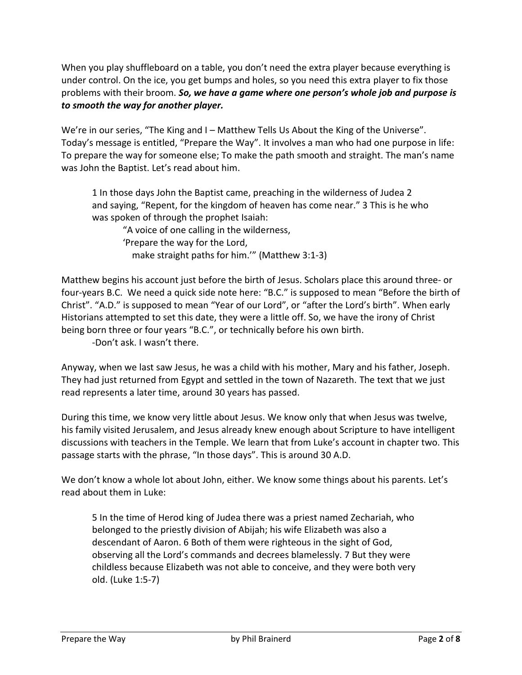When you play shuffleboard on a table, you don't need the extra player because everything is under control. On the ice, you get bumps and holes, so you need this extra player to fix those problems with their broom. *So, we have a game where one person's whole job and purpose is to smooth the way for another player.*

We're in our series, "The King and I – Matthew Tells Us About the King of the Universe". Today's message is entitled, "Prepare the Way". It involves a man who had one purpose in life: To prepare the way for someone else; To make the path smooth and straight. The man's name was John the Baptist. Let's read about him.

1 In those days John the Baptist came, preaching in the wilderness of Judea 2 and saying, "Repent, for the kingdom of heaven has come near." 3 This is he who was spoken of through the prophet Isaiah:

"A voice of one calling in the wilderness, 'Prepare the way for the Lord, make straight paths for him.'" (Matthew 3:1-3)

Matthew begins his account just before the birth of Jesus. Scholars place this around three- or four-years B.C. We need a quick side note here: "B.C." is supposed to mean "Before the birth of Christ". "A.D." is supposed to mean "Year of our Lord", or "after the Lord's birth". When early Historians attempted to set this date, they were a little off. So, we have the irony of Christ being born three or four years "B.C.", or technically before his own birth.

-Don't ask. I wasn't there.

Anyway, when we last saw Jesus, he was a child with his mother, Mary and his father, Joseph. They had just returned from Egypt and settled in the town of Nazareth. The text that we just read represents a later time, around 30 years has passed.

During this time, we know very little about Jesus. We know only that when Jesus was twelve, his family visited Jerusalem, and Jesus already knew enough about Scripture to have intelligent discussions with teachers in the Temple. We learn that from Luke's account in chapter two. This passage starts with the phrase, "In those days". This is around 30 A.D.

We don't know a whole lot about John, either. We know some things about his parents. Let's read about them in Luke:

5 In the time of Herod king of Judea there was a priest named Zechariah, who belonged to the priestly division of Abijah; his wife Elizabeth was also a descendant of Aaron. 6 Both of them were righteous in the sight of God, observing all the Lord's commands and decrees blamelessly. 7 But they were childless because Elizabeth was not able to conceive, and they were both very old. (Luke 1:5-7)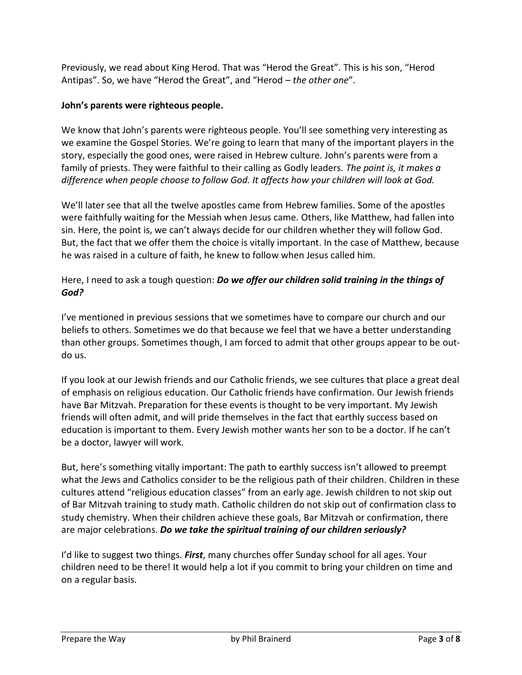Previously, we read about King Herod. That was "Herod the Great". This is his son, "Herod Antipas". So, we have "Herod the Great", and "Herod – *the other one*".

## **John's parents were righteous people.**

We know that John's parents were righteous people. You'll see something very interesting as we examine the Gospel Stories. We're going to learn that many of the important players in the story, especially the good ones, were raised in Hebrew culture. John's parents were from a family of priests. They were faithful to their calling as Godly leaders. *The point is, it makes a difference when people choose to follow God. It affects how your children will look at God.*

We'll later see that all the twelve apostles came from Hebrew families. Some of the apostles were faithfully waiting for the Messiah when Jesus came. Others, like Matthew, had fallen into sin. Here, the point is, we can't always decide for our children whether they will follow God. But, the fact that we offer them the choice is vitally important. In the case of Matthew, because he was raised in a culture of faith, he knew to follow when Jesus called him.

# Here, I need to ask a tough question: *Do we offer our children solid training in the things of God?*

I've mentioned in previous sessions that we sometimes have to compare our church and our beliefs to others. Sometimes we do that because we feel that we have a better understanding than other groups. Sometimes though, I am forced to admit that other groups appear to be outdo us.

If you look at our Jewish friends and our Catholic friends, we see cultures that place a great deal of emphasis on religious education. Our Catholic friends have confirmation. Our Jewish friends have Bar Mitzvah. Preparation for these events is thought to be very important. My Jewish friends will often admit, and will pride themselves in the fact that earthly success based on education is important to them. Every Jewish mother wants her son to be a doctor. If he can't be a doctor, lawyer will work.

But, here's something vitally important: The path to earthly success isn't allowed to preempt what the Jews and Catholics consider to be the religious path of their children. Children in these cultures attend "religious education classes" from an early age. Jewish children to not skip out of Bar Mitzvah training to study math. Catholic children do not skip out of confirmation class to study chemistry. When their children achieve these goals, Bar Mitzvah or confirmation, there are major celebrations. *Do we take the spiritual training of our children seriously?*

I'd like to suggest two things. *First*, many churches offer Sunday school for all ages. Your children need to be there! It would help a lot if you commit to bring your children on time and on a regular basis.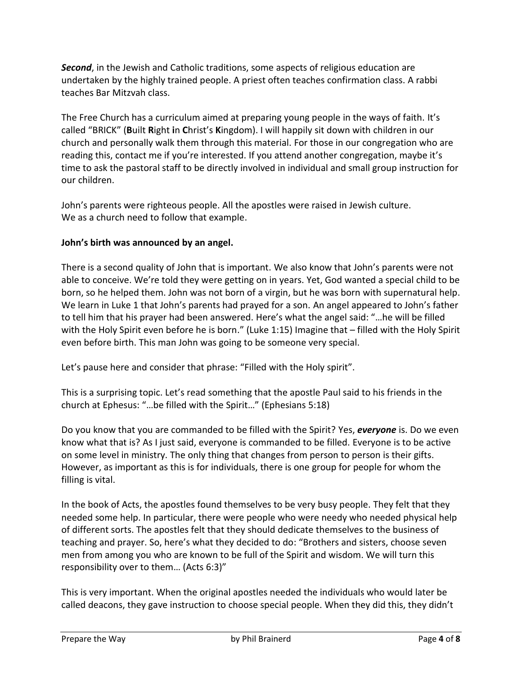*Second*, in the Jewish and Catholic traditions, some aspects of religious education are undertaken by the highly trained people. A priest often teaches confirmation class. A rabbi teaches Bar Mitzvah class.

The Free Church has a curriculum aimed at preparing young people in the ways of faith. It's called "BRICK" (**B**uilt **R**ight **i**n **C**hrist's **K**ingdom). I will happily sit down with children in our church and personally walk them through this material. For those in our congregation who are reading this, contact me if you're interested. If you attend another congregation, maybe it's time to ask the pastoral staff to be directly involved in individual and small group instruction for our children.

John's parents were righteous people. All the apostles were raised in Jewish culture. We as a church need to follow that example.

### **John's birth was announced by an angel.**

There is a second quality of John that is important. We also know that John's parents were not able to conceive. We're told they were getting on in years. Yet, God wanted a special child to be born, so he helped them. John was not born of a virgin, but he was born with supernatural help. We learn in Luke 1 that John's parents had prayed for a son. An angel appeared to John's father to tell him that his prayer had been answered. Here's what the angel said: "…he will be filled with the Holy Spirit even before he is born." (Luke 1:15) Imagine that – filled with the Holy Spirit even before birth. This man John was going to be someone very special.

Let's pause here and consider that phrase: "Filled with the Holy spirit".

This is a surprising topic. Let's read something that the apostle Paul said to his friends in the church at Ephesus: "…be filled with the Spirit…" (Ephesians 5:18)

Do you know that you are commanded to be filled with the Spirit? Yes, *everyone* is. Do we even know what that is? As I just said, everyone is commanded to be filled. Everyone is to be active on some level in ministry. The only thing that changes from person to person is their gifts. However, as important as this is for individuals, there is one group for people for whom the filling is vital.

In the book of Acts, the apostles found themselves to be very busy people. They felt that they needed some help. In particular, there were people who were needy who needed physical help of different sorts. The apostles felt that they should dedicate themselves to the business of teaching and prayer. So, here's what they decided to do: "Brothers and sisters, choose seven men from among you who are known to be full of the Spirit and wisdom. We will turn this responsibility over to them… (Acts 6:3)"

This is very important. When the original apostles needed the individuals who would later be called deacons, they gave instruction to choose special people. When they did this, they didn't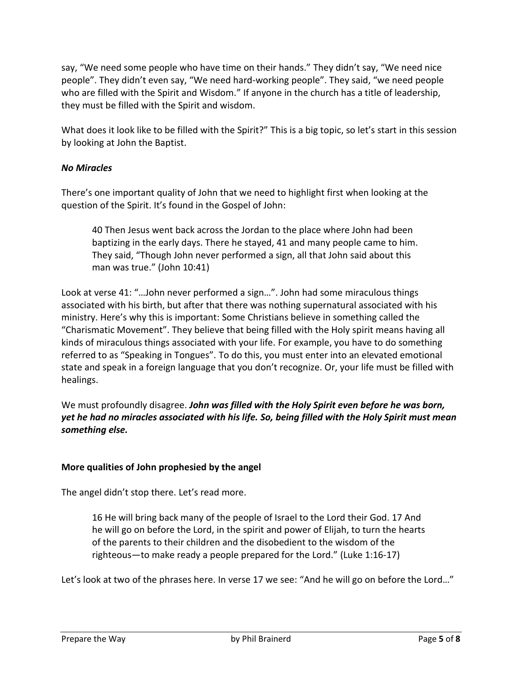say, "We need some people who have time on their hands." They didn't say, "We need nice people". They didn't even say, "We need hard-working people". They said, "we need people who are filled with the Spirit and Wisdom." If anyone in the church has a title of leadership, they must be filled with the Spirit and wisdom.

What does it look like to be filled with the Spirit?" This is a big topic, so let's start in this session by looking at John the Baptist.

#### *No Miracles*

There's one important quality of John that we need to highlight first when looking at the question of the Spirit. It's found in the Gospel of John:

40 Then Jesus went back across the Jordan to the place where John had been baptizing in the early days. There he stayed, 41 and many people came to him. They said, "Though John never performed a sign, all that John said about this man was true." (John 10:41)

Look at verse 41: "…John never performed a sign…". John had some miraculous things associated with his birth, but after that there was nothing supernatural associated with his ministry. Here's why this is important: Some Christians believe in something called the "Charismatic Movement". They believe that being filled with the Holy spirit means having all kinds of miraculous things associated with your life. For example, you have to do something referred to as "Speaking in Tongues". To do this, you must enter into an elevated emotional state and speak in a foreign language that you don't recognize. Or, your life must be filled with healings.

We must profoundly disagree. *John was filled with the Holy Spirit even before he was born, yet he had no miracles associated with his life. So, being filled with the Holy Spirit must mean something else.*

#### **More qualities of John prophesied by the angel**

The angel didn't stop there. Let's read more.

16 He will bring back many of the people of Israel to the Lord their God. 17 And he will go on before the Lord, in the spirit and power of Elijah, to turn the hearts of the parents to their children and the disobedient to the wisdom of the righteous—to make ready a people prepared for the Lord." (Luke 1:16-17)

Let's look at two of the phrases here. In verse 17 we see: "And he will go on before the Lord…"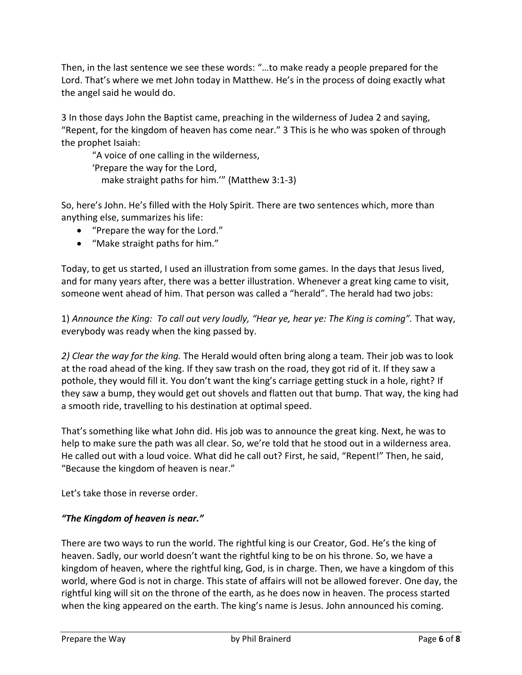Then, in the last sentence we see these words: "…to make ready a people prepared for the Lord. That's where we met John today in Matthew. He's in the process of doing exactly what the angel said he would do.

3 In those days John the Baptist came, preaching in the wilderness of Judea 2 and saying, "Repent, for the kingdom of heaven has come near." 3 This is he who was spoken of through the prophet Isaiah:

"A voice of one calling in the wilderness, 'Prepare the way for the Lord, make straight paths for him.'" (Matthew 3:1-3)

So, here's John. He's filled with the Holy Spirit. There are two sentences which, more than anything else, summarizes his life:

- "Prepare the way for the Lord."
- "Make straight paths for him."

Today, to get us started, I used an illustration from some games. In the days that Jesus lived, and for many years after, there was a better illustration. Whenever a great king came to visit, someone went ahead of him. That person was called a "herald". The herald had two jobs:

1) *Announce the King: To call out very loudly, "Hear ye, hear ye: The King is coming".* That way, everybody was ready when the king passed by.

*2) Clear the way for the king.* The Herald would often bring along a team. Their job was to look at the road ahead of the king. If they saw trash on the road, they got rid of it. If they saw a pothole, they would fill it. You don't want the king's carriage getting stuck in a hole, right? If they saw a bump, they would get out shovels and flatten out that bump. That way, the king had a smooth ride, travelling to his destination at optimal speed.

That's something like what John did. His job was to announce the great king. Next, he was to help to make sure the path was all clear. So, we're told that he stood out in a wilderness area. He called out with a loud voice. What did he call out? First, he said, "Repent!" Then, he said, "Because the kingdom of heaven is near."

Let's take those in reverse order.

## *"The Kingdom of heaven is near."*

There are two ways to run the world. The rightful king is our Creator, God. He's the king of heaven. Sadly, our world doesn't want the rightful king to be on his throne. So, we have a kingdom of heaven, where the rightful king, God, is in charge. Then, we have a kingdom of this world, where God is not in charge. This state of affairs will not be allowed forever. One day, the rightful king will sit on the throne of the earth, as he does now in heaven. The process started when the king appeared on the earth. The king's name is Jesus. John announced his coming.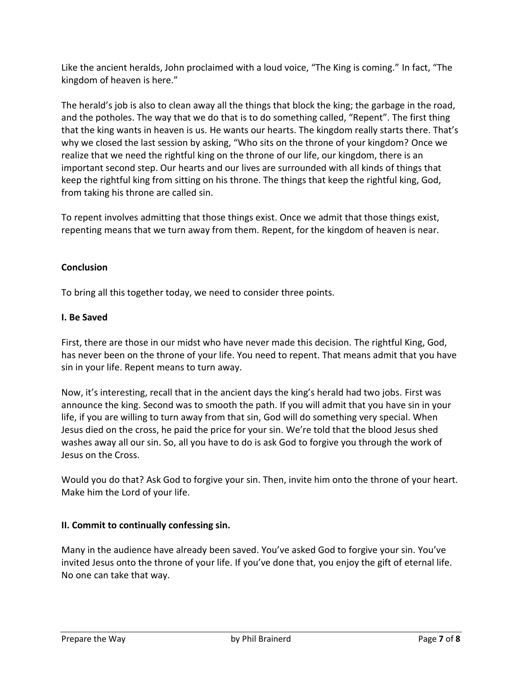Like the ancient heralds, John proclaimed with a loud voice, "The King is coming." In fact, "The kingdom of heaven is here."

The herald's job is also to clean away all the things that block the king; the garbage in the road, and the potholes. The way that we do that is to do something called, "Repent". The first thing that the king wants in heaven is us. He wants our hearts. The kingdom really starts there. That's why we closed the last session by asking, "Who sits on the throne of your kingdom? Once we realize that we need the rightful king on the throne of our life, our kingdom, there is an important second step. Our hearts and our lives are surrounded with all kinds of things that keep the rightful king from sitting on his throne. The things that keep the rightful king, God, from taking his throne are called sin.

To repent involves admitting that those things exist. Once we admit that those things exist, repenting means that we turn away from them. Repent, for the kingdom of heaven is near.

## **Conclusion**

To bring all this together today, we need to consider three points.

### **I. Be Saved**

First, there are those in our midst who have never made this decision. The rightful King, God, has never been on the throne of your life. You need to repent. That means admit that you have sin in your life. Repent means to turn away.

Now, it's interesting, recall that in the ancient days the king's herald had two jobs. First was announce the king. Second was to smooth the path. If you will admit that you have sin in your life, if you are willing to turn away from that sin, God will do something very special. When Jesus died on the cross, he paid the price for your sin. We're told that the blood Jesus shed washes away all our sin. So, all you have to do is ask God to forgive you through the work of Jesus on the Cross.

Would you do that? Ask God to forgive your sin. Then, invite him onto the throne of your heart. Make him the Lord of your life.

## **II. Commit to continually confessing sin.**

Many in the audience have already been saved. You've asked God to forgive your sin. You've invited Jesus onto the throne of your life. If you've done that, you enjoy the gift of eternal life. No one can take that way.